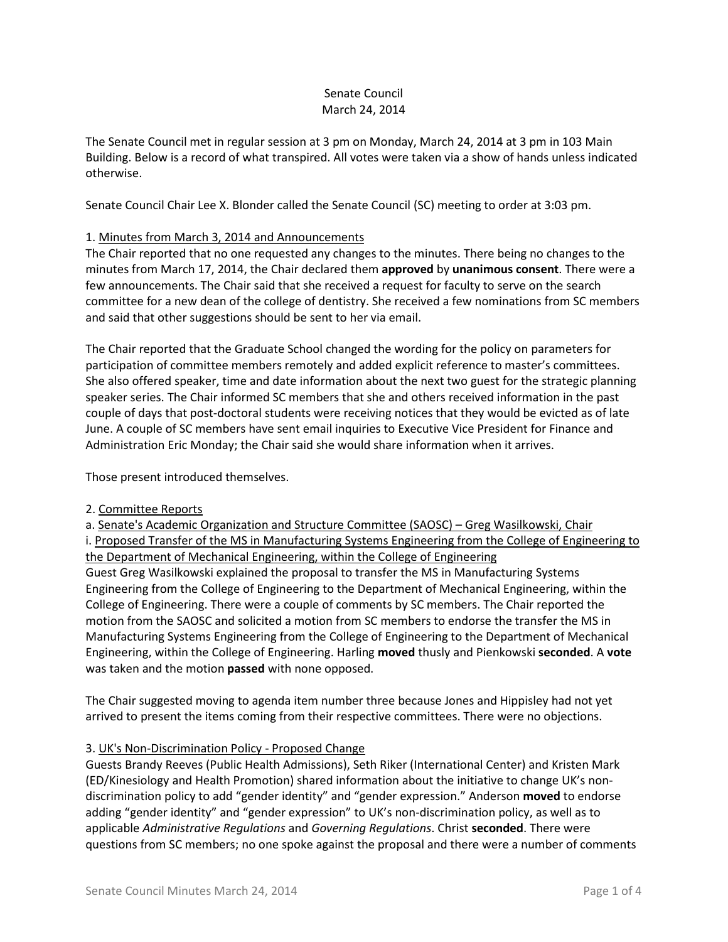# Senate Council March 24, 2014

The Senate Council met in regular session at 3 pm on Monday, March 24, 2014 at 3 pm in 103 Main Building. Below is a record of what transpired. All votes were taken via a show of hands unless indicated otherwise.

Senate Council Chair Lee X. Blonder called the Senate Council (SC) meeting to order at 3:03 pm.

# 1. Minutes from March 3, 2014 and Announcements

The Chair reported that no one requested any changes to the minutes. There being no changes to the minutes from March 17, 2014, the Chair declared them **approved** by **unanimous consent**. There were a few announcements. The Chair said that she received a request for faculty to serve on the search committee for a new dean of the college of dentistry. She received a few nominations from SC members and said that other suggestions should be sent to her via email.

The Chair reported that the Graduate School changed the wording for the policy on parameters for participation of committee members remotely and added explicit reference to master's committees. She also offered speaker, time and date information about the next two guest for the strategic planning speaker series. The Chair informed SC members that she and others received information in the past couple of days that post-doctoral students were receiving notices that they would be evicted as of late June. A couple of SC members have sent email inquiries to Executive Vice President for Finance and Administration Eric Monday; the Chair said she would share information when it arrives.

Those present introduced themselves.

#### 2. Committee Reports

a. Senate's Academic Organization and Structure Committee (SAOSC) – Greg Wasilkowski, Chair i. Proposed Transfer of the MS in Manufacturing Systems Engineering from the College of Engineering to the Department of Mechanical Engineering, within the College of Engineering Guest Greg Wasilkowski explained the proposal to transfer the MS in Manufacturing Systems Engineering from the College of Engineering to the Department of Mechanical Engineering, within the College of Engineering. There were a couple of comments by SC members. The Chair reported the motion from the SAOSC and solicited a motion from SC members to endorse the transfer the MS in Manufacturing Systems Engineering from the College of Engineering to the Department of Mechanical Engineering, within the College of Engineering. Harling **moved** thusly and Pienkowski **seconded**. A **vote** was taken and the motion **passed** with none opposed.

The Chair suggested moving to agenda item number three because Jones and Hippisley had not yet arrived to present the items coming from their respective committees. There were no objections.

# 3. UK's Non-Discrimination Policy - Proposed Change

Guests Brandy Reeves (Public Health Admissions), Seth Riker (International Center) and Kristen Mark (ED/Kinesiology and Health Promotion) shared information about the initiative to change UK's nondiscrimination policy to add "gender identity" and "gender expression." Anderson **moved** to endorse adding "gender identity" and "gender expression" to UK's non-discrimination policy, as well as to applicable *Administrative Regulations* and *Governing Regulations*. Christ **seconded**. There were questions from SC members; no one spoke against the proposal and there were a number of comments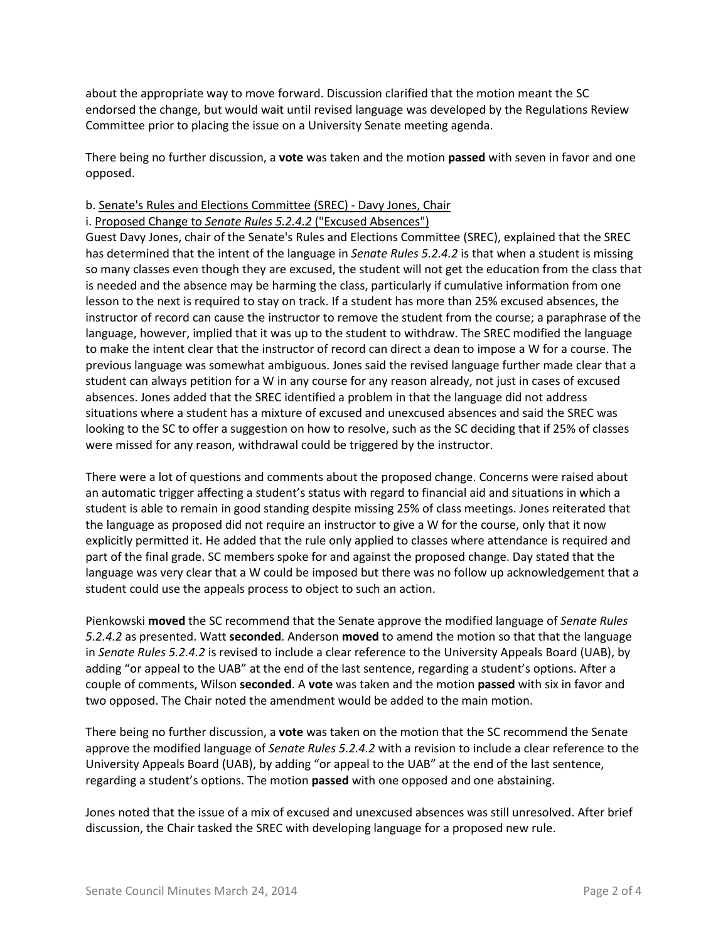about the appropriate way to move forward. Discussion clarified that the motion meant the SC endorsed the change, but would wait until revised language was developed by the Regulations Review Committee prior to placing the issue on a University Senate meeting agenda.

There being no further discussion, a **vote** was taken and the motion **passed** with seven in favor and one opposed.

#### b. Senate's Rules and Elections Committee (SREC) - Davy Jones, Chair

### i. Proposed Change to *Senate Rules 5.2.4.2* ("Excused Absences")

Guest Davy Jones, chair of the Senate's Rules and Elections Committee (SREC), explained that the SREC has determined that the intent of the language in *Senate Rules 5.2.4.2* is that when a student is missing so many classes even though they are excused, the student will not get the education from the class that is needed and the absence may be harming the class, particularly if cumulative information from one lesson to the next is required to stay on track. If a student has more than 25% excused absences, the instructor of record can cause the instructor to remove the student from the course; a paraphrase of the language, however, implied that it was up to the student to withdraw. The SREC modified the language to make the intent clear that the instructor of record can direct a dean to impose a W for a course. The previous language was somewhat ambiguous. Jones said the revised language further made clear that a student can always petition for a W in any course for any reason already, not just in cases of excused absences. Jones added that the SREC identified a problem in that the language did not address situations where a student has a mixture of excused and unexcused absences and said the SREC was looking to the SC to offer a suggestion on how to resolve, such as the SC deciding that if 25% of classes were missed for any reason, withdrawal could be triggered by the instructor.

There were a lot of questions and comments about the proposed change. Concerns were raised about an automatic trigger affecting a student's status with regard to financial aid and situations in which a student is able to remain in good standing despite missing 25% of class meetings. Jones reiterated that the language as proposed did not require an instructor to give a W for the course, only that it now explicitly permitted it. He added that the rule only applied to classes where attendance is required and part of the final grade. SC members spoke for and against the proposed change. Day stated that the language was very clear that a W could be imposed but there was no follow up acknowledgement that a student could use the appeals process to object to such an action.

Pienkowski **moved** the SC recommend that the Senate approve the modified language of *Senate Rules 5.2.4.2* as presented. Watt **seconded**. Anderson **moved** to amend the motion so that that the language in *Senate Rules 5.2.4.2* is revised to include a clear reference to the University Appeals Board (UAB), by adding "or appeal to the UAB" at the end of the last sentence, regarding a student's options. After a couple of comments, Wilson **seconded**. A **vote** was taken and the motion **passed** with six in favor and two opposed. The Chair noted the amendment would be added to the main motion.

There being no further discussion, a **vote** was taken on the motion that the SC recommend the Senate approve the modified language of *Senate Rules 5.2.4.2* with a revision to include a clear reference to the University Appeals Board (UAB), by adding "or appeal to the UAB" at the end of the last sentence, regarding a student's options. The motion **passed** with one opposed and one abstaining.

Jones noted that the issue of a mix of excused and unexcused absences was still unresolved. After brief discussion, the Chair tasked the SREC with developing language for a proposed new rule.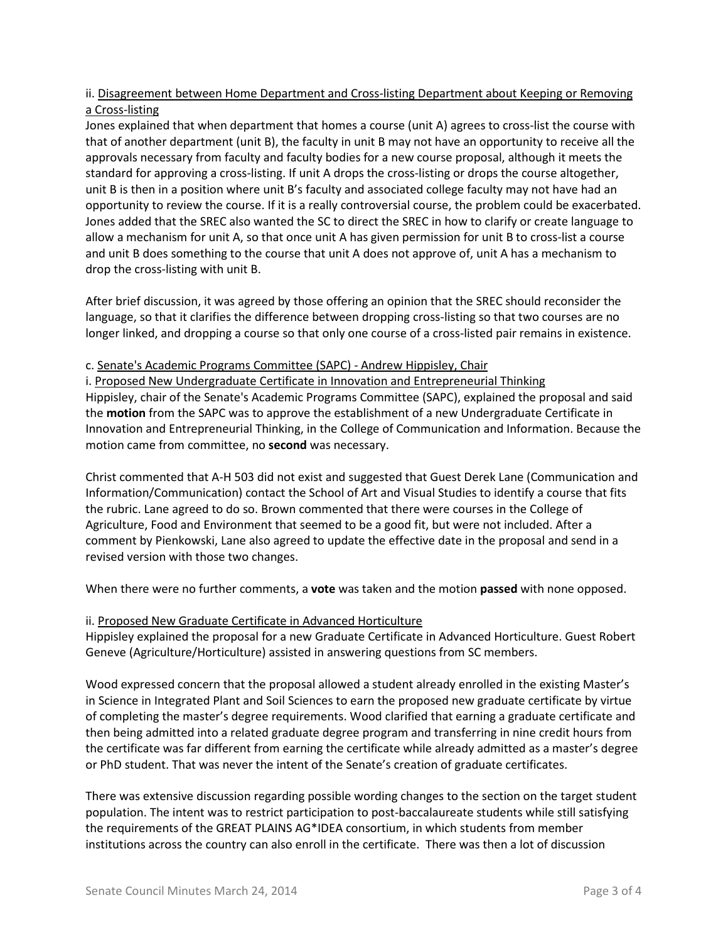# ii. Disagreement between Home Department and Cross-listing Department about Keeping or Removing a Cross-listing

Jones explained that when department that homes a course (unit A) agrees to cross-list the course with that of another department (unit B), the faculty in unit B may not have an opportunity to receive all the approvals necessary from faculty and faculty bodies for a new course proposal, although it meets the standard for approving a cross-listing. If unit A drops the cross-listing or drops the course altogether, unit B is then in a position where unit B's faculty and associated college faculty may not have had an opportunity to review the course. If it is a really controversial course, the problem could be exacerbated. Jones added that the SREC also wanted the SC to direct the SREC in how to clarify or create language to allow a mechanism for unit A, so that once unit A has given permission for unit B to cross-list a course and unit B does something to the course that unit A does not approve of, unit A has a mechanism to drop the cross-listing with unit B.

After brief discussion, it was agreed by those offering an opinion that the SREC should reconsider the language, so that it clarifies the difference between dropping cross-listing so that two courses are no longer linked, and dropping a course so that only one course of a cross-listed pair remains in existence.

### c. Senate's Academic Programs Committee (SAPC) - Andrew Hippisley, Chair

i. Proposed New Undergraduate Certificate in Innovation and Entrepreneurial Thinking Hippisley, chair of the Senate's Academic Programs Committee (SAPC), explained the proposal and said the **motion** from the SAPC was to approve the establishment of a new Undergraduate Certificate in Innovation and Entrepreneurial Thinking, in the College of Communication and Information. Because the motion came from committee, no **second** was necessary.

Christ commented that A-H 503 did not exist and suggested that Guest Derek Lane (Communication and Information/Communication) contact the School of Art and Visual Studies to identify a course that fits the rubric. Lane agreed to do so. Brown commented that there were courses in the College of Agriculture, Food and Environment that seemed to be a good fit, but were not included. After a comment by Pienkowski, Lane also agreed to update the effective date in the proposal and send in a revised version with those two changes.

When there were no further comments, a **vote** was taken and the motion **passed** with none opposed.

# ii. Proposed New Graduate Certificate in Advanced Horticulture

Hippisley explained the proposal for a new Graduate Certificate in Advanced Horticulture. Guest Robert Geneve (Agriculture/Horticulture) assisted in answering questions from SC members.

Wood expressed concern that the proposal allowed a student already enrolled in the existing Master's in Science in Integrated Plant and Soil Sciences to earn the proposed new graduate certificate by virtue of completing the master's degree requirements. Wood clarified that earning a graduate certificate and then being admitted into a related graduate degree program and transferring in nine credit hours from the certificate was far different from earning the certificate while already admitted as a master's degree or PhD student. That was never the intent of the Senate's creation of graduate certificates.

There was extensive discussion regarding possible wording changes to the section on the target student population. The intent was to restrict participation to post-baccalaureate students while still satisfying the requirements of the GREAT PLAINS AG\*IDEA consortium, in which students from member institutions across the country can also enroll in the certificate. There was then a lot of discussion